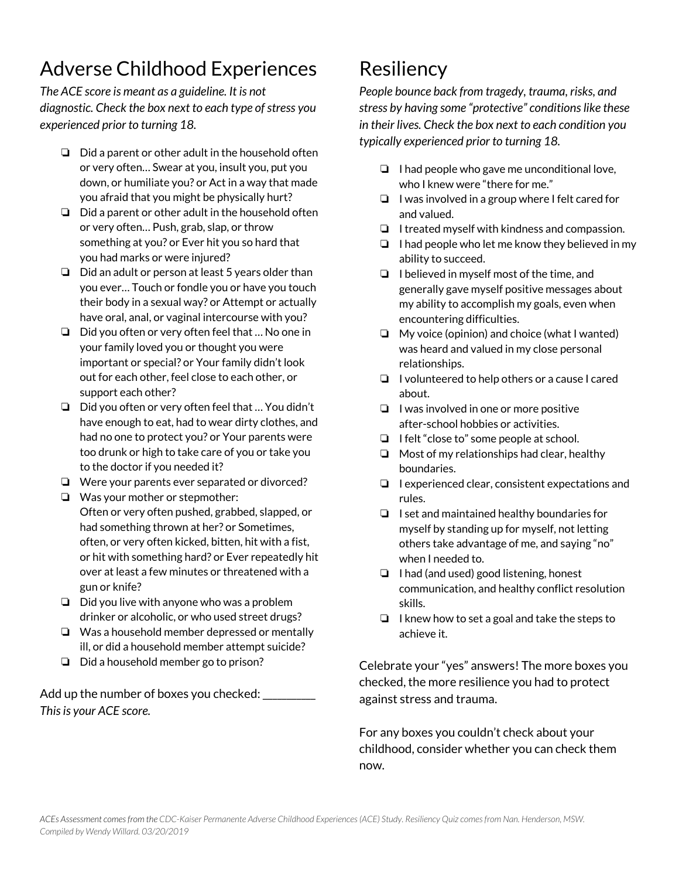# Adverse Childhood Experiences

*The ACE score is meant as a guideline. It is not*  $d$ *iagnostic.* Check the box next to each type of stress you *experienced prior to turning 18.*

- ❏ Did a parent or other adult in the household often or very often… Swear at you, insult you, put you down, or humiliate you? or Act in a way that made you afraid that you might be physically hurt?
- ❏ Did a parent or other adult in the household often or very often… Push, grab, slap, or throw something at you? or Ever hit you so hard that you had marks or were injured?
- ❏ Did an adult or person at least 5 years older than you ever… Touch or fondle you or have you touch their body in a sexual way? or Attempt or actually have oral, anal, or vaginal intercourse with you?
- ❏ Did you often or very often feel that … No one in your family loved you or thought you were important or special? or Your family didn't look out for each other, feel close to each other, or support each other?
- ❏ Did you often or very often feel that … You didn't have enough to eat, had to wear dirty clothes, and had no one to protect you? or Your parents were too drunk or high to take care of you or take you to the doctor if you needed it?
- ❏ Were your parents ever separated or divorced?
- ❏ Was your mother or stepmother: Often or very often pushed, grabbed, slapped, or had something thrown at her? or Sometimes, often, or very often kicked, bitten, hit with a fist, or hit with something hard? or Ever repeatedly hit over at least a few minutes or threatened with a gun or knife?
- ❏ Did you live with anyone who was a problem drinker or alcoholic, or who used street drugs?
- ❏ Was a household member depressed or mentally ill, or did a household member attempt suicide?
- ❏ Did a household member go to prison?

Add up the number of boxes you checked: *Thisis your ACE score.*

# **Resiliency**

*People bounce back from tragedy, trauma, risks, and stress by having some "protective" conditionslike these in their lives. Check the box next to each condition you typically experienced prior to turning 18.*

- ❏ I had people who gave me unconditional love, who I knew were "there for me."
- ❏ I was involved in a group where I felt cared for and valued.
- ❏ I treated myself with kindness and compassion.
- ❏ I had people who let me know they believed in my ability to succeed.
- ❏ I believed in myself most of the time, and generally gave myself positive messages about my ability to accomplish my goals, even when encountering difficulties.
- ❏ My voice (opinion) and choice (what I wanted) was heard and valued in my close personal relationships.
- ❏ I volunteered to help others or a cause I cared about.
- ❏ I was involved in one or more positive after-school hobbies or activities.
- ❏ I felt "close to" some people at school.
- ❏ Most of my relationships had clear, healthy boundaries.
- ❏ I experienced clear, consistent expectations and rules.
- ❏ I set and maintained healthy boundaries for myself by standing up for myself, not letting others take advantage of me, and saying "no" when I needed to.
- ❏ I had (and used) good listening, honest communication, and healthy conflict resolution skills.
- ❏ I knew how to set a goal and take the steps to achieve it.

Celebrate your "yes" answers! The more boxes you checked, the more resilience you had to protect against stress and trauma.

For any boxes you couldn't check about your childhood, consider whether you can check them now.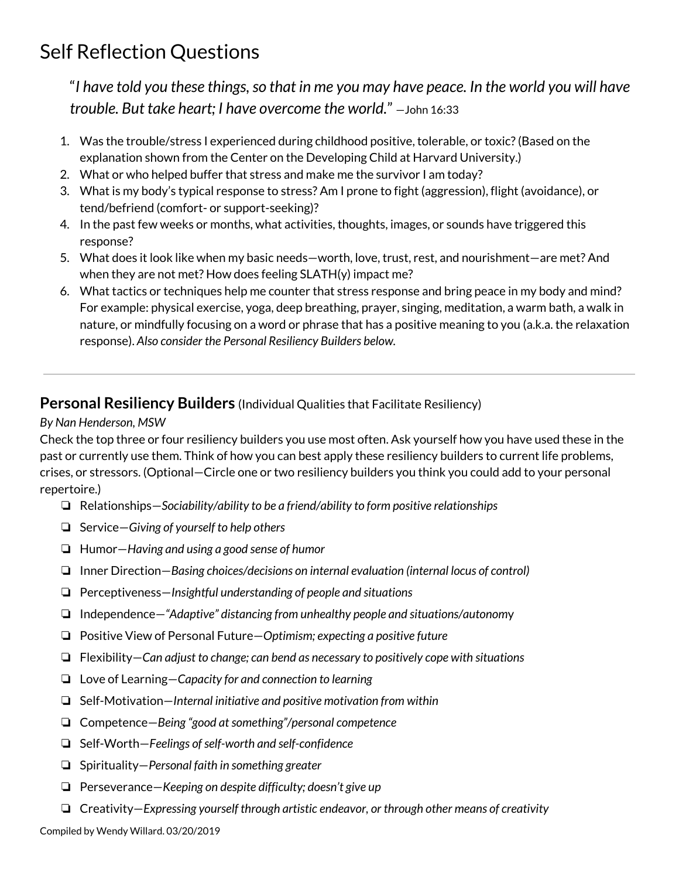# Self Reflection Questions

"*I have told you these things,so that in me you may have peace. In the world you will have trouble. But take heart; I have overcome the world.*" —John 16:33

- 1. Was the trouble/stress I experienced during childhood positive, tolerable, or toxic?(Based on the explanation shown from the Center on the Developing Child at Harvard University.)
- 2. What or who helped buffer that stress and make me the survivor I am today?
- 3. What is my body's typical response to stress? Am I prone to fight (aggression), flight (avoidance), or tend/befriend (comfort- or support-seeking)?
- 4. In the past few weeks or months, what activities, thoughts, images, or sounds have triggered this response?
- 5. What does it look like when my basic needs—worth, love, trust, rest, and nourishment—are met? And when they are not met? How does feeling SLATH(y) impact me?
- 6. What tactics or techniques help me counter that stress response and bring peace in my body and mind? For example: physical exercise, yoga, deep breathing, prayer, singing, meditation, a warm bath, a walk in nature, or mindfully focusing on a word or phrase that has a positive meaning to you (a.k.a. the relaxation response). *Also consider the Personal Resiliency Builders below.*

### **Personal Resiliency Builders** (Individual Qualities that Facilitate Resiliency)

### *By Nan Henderson, MSW*

Check the top three or four resiliency builders you use most often. Ask yourself how you have used these in the past or currently use them. Think of how you can best apply these resiliency builders to current life problems, crises, or stressors. (Optional—Circle one or two resiliency builders you think you could add to your personal repertoire.)

- ❏ Relationships—*Sociability/ability to be a friend/ability to form positive relationships*
- ❏ Service—*Giving of yourself to help others*
- ❏ Humor—*Having and using a good sense of humor*
- ❏ Inner Direction—*Basing choices/decisions on internal evaluation (internal locus of control)*
- ❏ Perceptiveness—*Insightful understanding of people and situations*
- ❏ Independence—*"Adaptive" distancing from unhealthy people and situations/autonom*y
- ❏ Positive View of Personal Future—*Optimism; expecting a positive future*
- ❏ Flexibility—*Can adjust to change; can bend as necessary to positively cope with situations*
- ❏ Love of Learning—*Capacity for and connection to learning*
- ❏ Self-Motivation—*Internal initiative and positive motivation from within*
- ❏ Competence—*Being "good atsomething"/personal competence*
- ❏ Self-Worth—*Feelings ofself-worth and self-confidence*
- ❏ Spirituality—*Personal faith in something greater*
- ❏ Perseverance—*Keeping on despite difficulty; doesn't give up*
- ❏ Creativity—*Expressing yourself through artistic endeavor, or through other means of creativity*